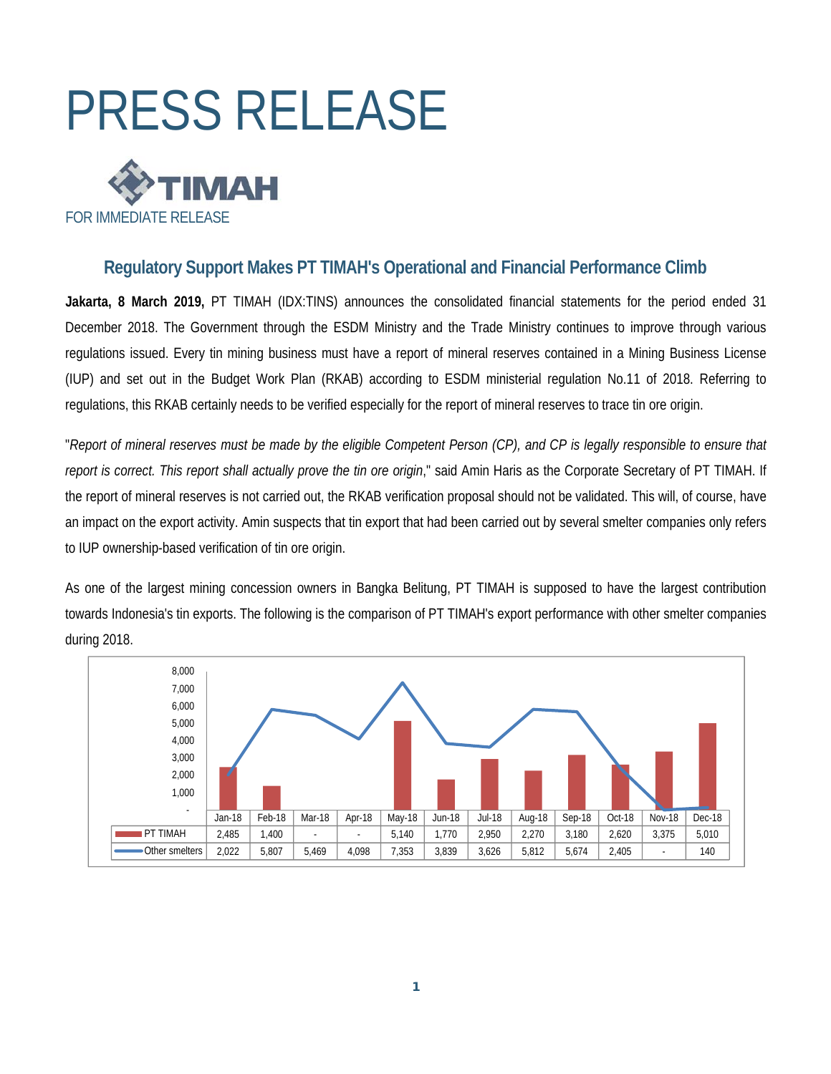

# **Regulatory Support Makes PT TIMAH's Operational and Financial Performance Climb**

**Jakarta, 8 March 2019,** PT TIMAH (IDX:TINS) announces the consolidated financial statements for the period ended 31 December 2018. The Government through the ESDM Ministry and the Trade Ministry continues to improve through various regulations issued. Every tin mining business must have a report of mineral reserves contained in a Mining Business License (IUP) and set out in the Budget Work Plan (RKAB) according to ESDM ministerial regulation No.11 of 2018. Referring to regulations, this RKAB certainly needs to be verified especially for the report of mineral reserves to trace tin ore origin.

"*Report of mineral reserves must be made by the eligible Competent Person (CP), and CP is legally responsible to ensure that report is correct. This report shall actually prove the tin ore origin*," said Amin Haris as the Corporate Secretary of PT TIMAH. If the report of mineral reserves is not carried out, the RKAB verification proposal should not be validated. This will, of course, have an impact on the export activity. Amin suspects that tin export that had been carried out by several smelter companies only refers to IUP ownership-based verification of tin ore origin.

As one of the largest mining concession owners in Bangka Belitung, PT TIMAH is supposed to have the largest contribution towards Indonesia's tin exports. The following is the comparison of PT TIMAH's export performance with other smelter companies during 2018.

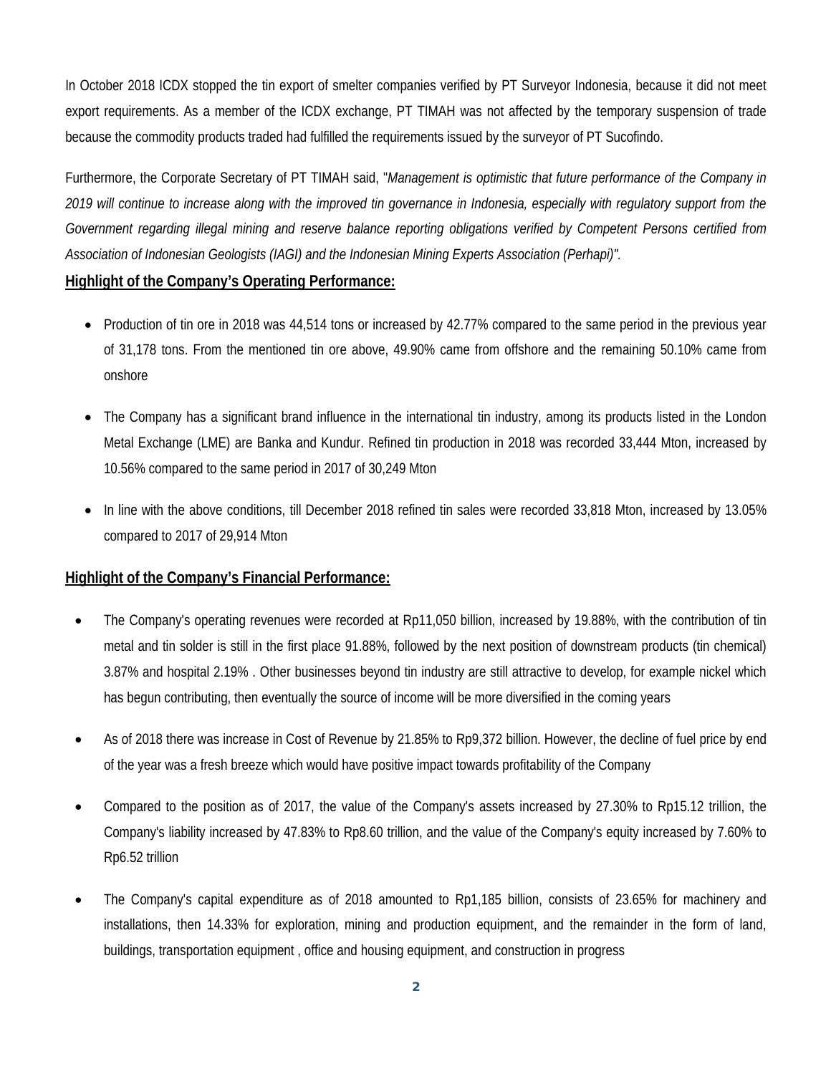In October 2018 ICDX stopped the tin export of smelter companies verified by PT Surveyor Indonesia, because it did not meet export requirements. As a member of the ICDX exchange, PT TIMAH was not affected by the temporary suspension of trade because the commodity products traded had fulfilled the requirements issued by the surveyor of PT Sucofindo.

Furthermore, the Corporate Secretary of PT TIMAH said, "*Management is optimistic that future performance of the Company in 2019 will continue to increase along with the improved tin governance in Indonesia, especially with regulatory support from the Government regarding illegal mining and reserve balance reporting obligations verified by Competent Persons certified from Association of Indonesian Geologists (IAGI) and the Indonesian Mining Experts Association (Perhapi)".*

# **Highlight of the Company's Operating Performance:**

- Production of tin ore in 2018 was 44,514 tons or increased by 42.77% compared to the same period in the previous year of 31,178 tons. From the mentioned tin ore above, 49.90% came from offshore and the remaining 50.10% came from onshore
- The Company has a significant brand influence in the international tin industry, among its products listed in the London Metal Exchange (LME) are Banka and Kundur. Refined tin production in 2018 was recorded 33,444 Mton, increased by 10.56% compared to the same period in 2017 of 30,249 Mton
- In line with the above conditions, till December 2018 refined tin sales were recorded 33,818 Mton, increased by 13.05% compared to 2017 of 29,914 Mton

# **Highlight of the Company's Financial Performance:**

- The Company's operating revenues were recorded at Rp11,050 billion, increased by 19.88%, with the contribution of tin metal and tin solder is still in the first place 91.88%, followed by the next position of downstream products (tin chemical) 3.87% and hospital 2.19% . Other businesses beyond tin industry are still attractive to develop, for example nickel which has begun contributing, then eventually the source of income will be more diversified in the coming years
- As of 2018 there was increase in Cost of Revenue by 21.85% to Rp9,372 billion. However, the decline of fuel price by end of the year was a fresh breeze which would have positive impact towards profitability of the Company
- Compared to the position as of 2017, the value of the Company's assets increased by 27.30% to Rp15.12 trillion, the Company's liability increased by 47.83% to Rp8.60 trillion, and the value of the Company's equity increased by 7.60% to Rp6.52 trillion
- The Company's capital expenditure as of 2018 amounted to Rp1,185 billion, consists of 23.65% for machinery and installations, then 14.33% for exploration, mining and production equipment, and the remainder in the form of land, buildings, transportation equipment , office and housing equipment, and construction in progress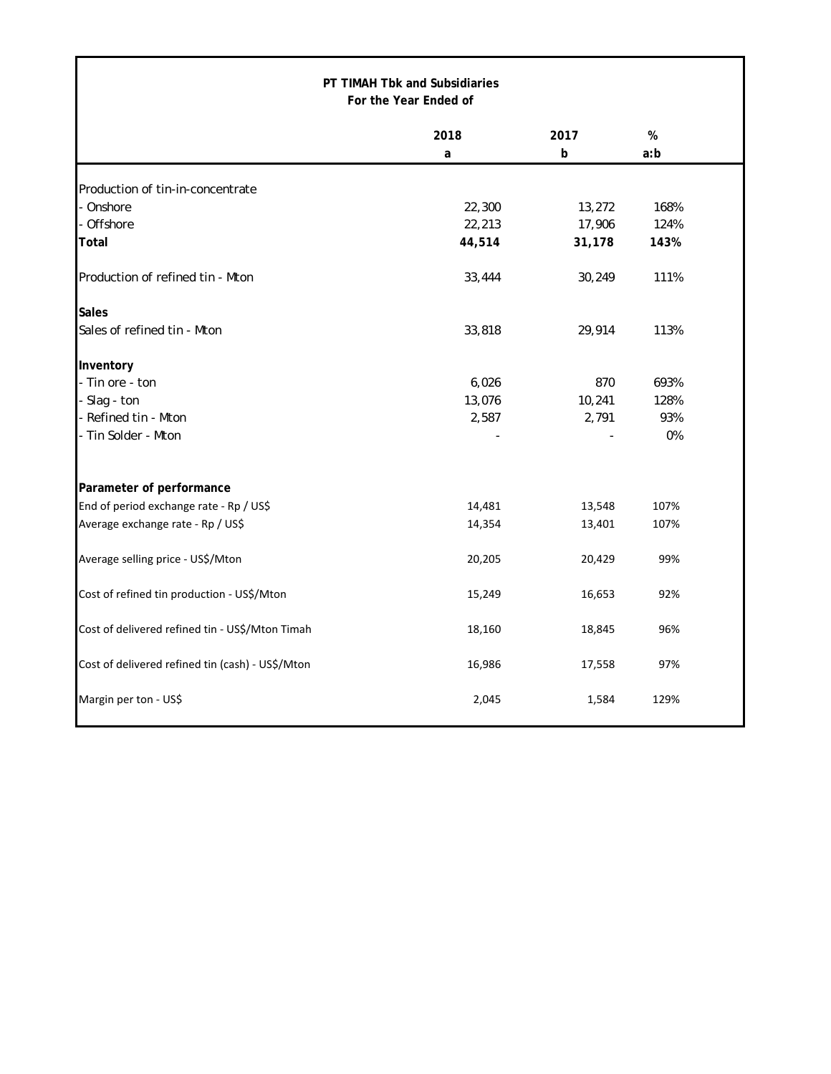| PT TIMAH Tbk and Subsidiaries<br>For the Year Ended of |        |             |      |  |  |  |
|--------------------------------------------------------|--------|-------------|------|--|--|--|
|                                                        | 2018   | 2017        | $\%$ |  |  |  |
|                                                        | a      | $\mathbf b$ | a:b  |  |  |  |
| Production of tin-in-concentrate                       |        |             |      |  |  |  |
| Onshore                                                | 22,300 | 13,272      | 168% |  |  |  |
| Offshore                                               | 22,213 | 17,906      | 124% |  |  |  |
| Total                                                  | 44,514 | 31,178      | 143% |  |  |  |
| Production of refined tin - Mton                       | 33,444 | 30,249      | 111% |  |  |  |
| <b>Sales</b>                                           |        |             |      |  |  |  |
| Sales of refined tin - Mton                            | 33,818 | 29,914      | 113% |  |  |  |
| Inventory                                              |        |             |      |  |  |  |
| - Tin ore - ton                                        | 6,026  | 870         | 693% |  |  |  |
| - Slag - ton                                           | 13,076 | 10,241      | 128% |  |  |  |
| - Refined tin - Mton                                   | 2,587  | 2,791       | 93%  |  |  |  |
| - Tin Solder - Mton                                    |        |             | 0%   |  |  |  |
| Parameter of performance                               |        |             |      |  |  |  |
| End of period exchange rate - Rp / US\$                | 14,481 | 13,548      | 107% |  |  |  |
| Average exchange rate - Rp / US\$                      | 14,354 | 13,401      | 107% |  |  |  |
| Average selling price - US\$/Mton                      | 20,205 | 20,429      | 99%  |  |  |  |
| Cost of refined tin production - US\$/Mton             | 15,249 | 16,653      | 92%  |  |  |  |
| Cost of delivered refined tin - US\$/Mton Timah        | 18,160 | 18,845      | 96%  |  |  |  |
| Cost of delivered refined tin (cash) - US\$/Mton       | 16,986 | 17,558      | 97%  |  |  |  |
| Margin per ton - US\$                                  | 2,045  | 1,584       | 129% |  |  |  |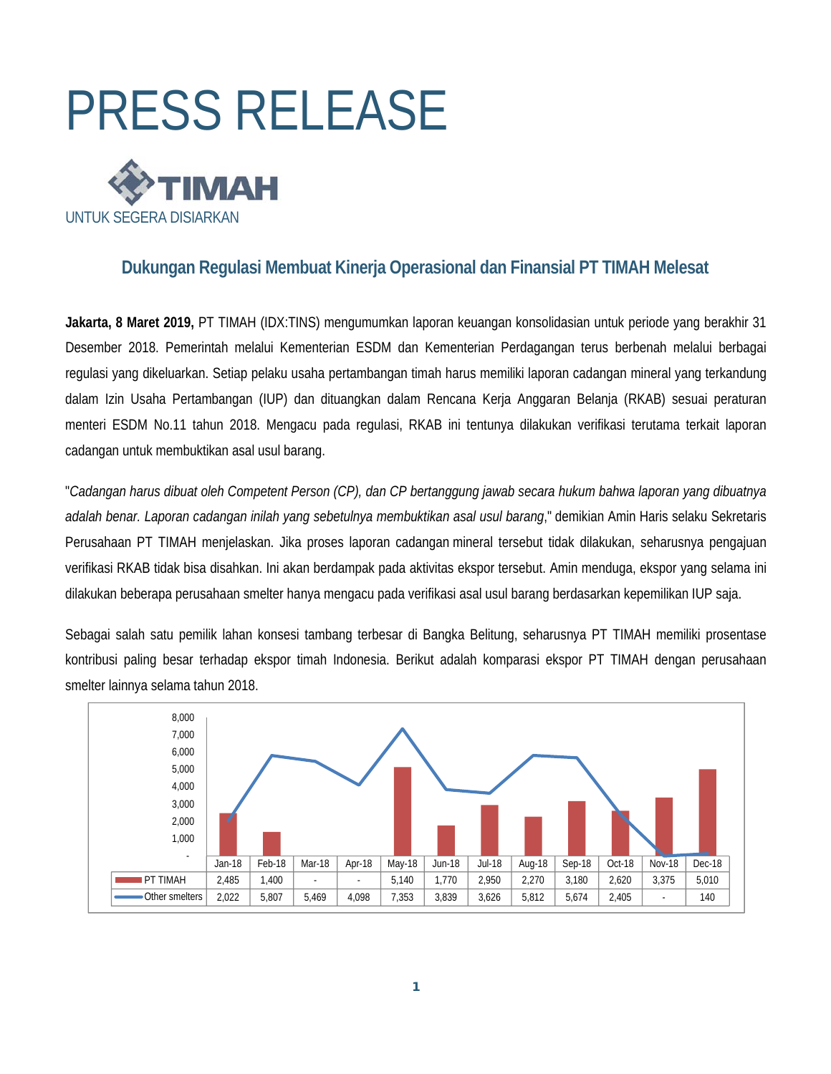

# **Dukungan Regulasi Membuat Kinerja Operasional dan Finansial PT TIMAH Melesat**

**Jakarta, 8 Maret 2019,** PT TIMAH (IDX:TINS) mengumumkan laporan keuangan konsolidasian untuk periode yang berakhir 31 Desember 2018. Pemerintah melalui Kementerian ESDM dan Kementerian Perdagangan terus berbenah melalui berbagai regulasi yang dikeluarkan. Setiap pelaku usaha pertambangan timah harus memiliki laporan cadangan mineral yang terkandung dalam Izin Usaha Pertambangan (IUP) dan dituangkan dalam Rencana Kerja Anggaran Belanja (RKAB) sesuai peraturan menteri ESDM No.11 tahun 2018. Mengacu pada regulasi, RKAB ini tentunya dilakukan verifikasi terutama terkait laporan cadangan untuk membuktikan asal usul barang.

"*Cadangan harus dibuat oleh Competent Person (CP), dan CP bertanggung jawab secara hukum bahwa laporan yang dibuatnya adalah benar. Laporan cadangan inilah yang sebetulnya membuktikan asal usul barang*," demikian Amin Haris selaku Sekretaris Perusahaan PT TIMAH menjelaskan. Jika proses laporan cadangan mineral tersebut tidak dilakukan, seharusnya pengajuan verifikasi RKAB tidak bisa disahkan. Ini akan berdampak pada aktivitas ekspor tersebut. Amin menduga, ekspor yang selama ini dilakukan beberapa perusahaan smelter hanya mengacu pada verifikasi asal usul barang berdasarkan kepemilikan IUP saja.

Sebagai salah satu pemilik lahan konsesi tambang terbesar di Bangka Belitung, seharusnya PT TIMAH memiliki prosentase kontribusi paling besar terhadap ekspor timah Indonesia. Berikut adalah komparasi ekspor PT TIMAH dengan perusahaan smelter lainnya selama tahun 2018.

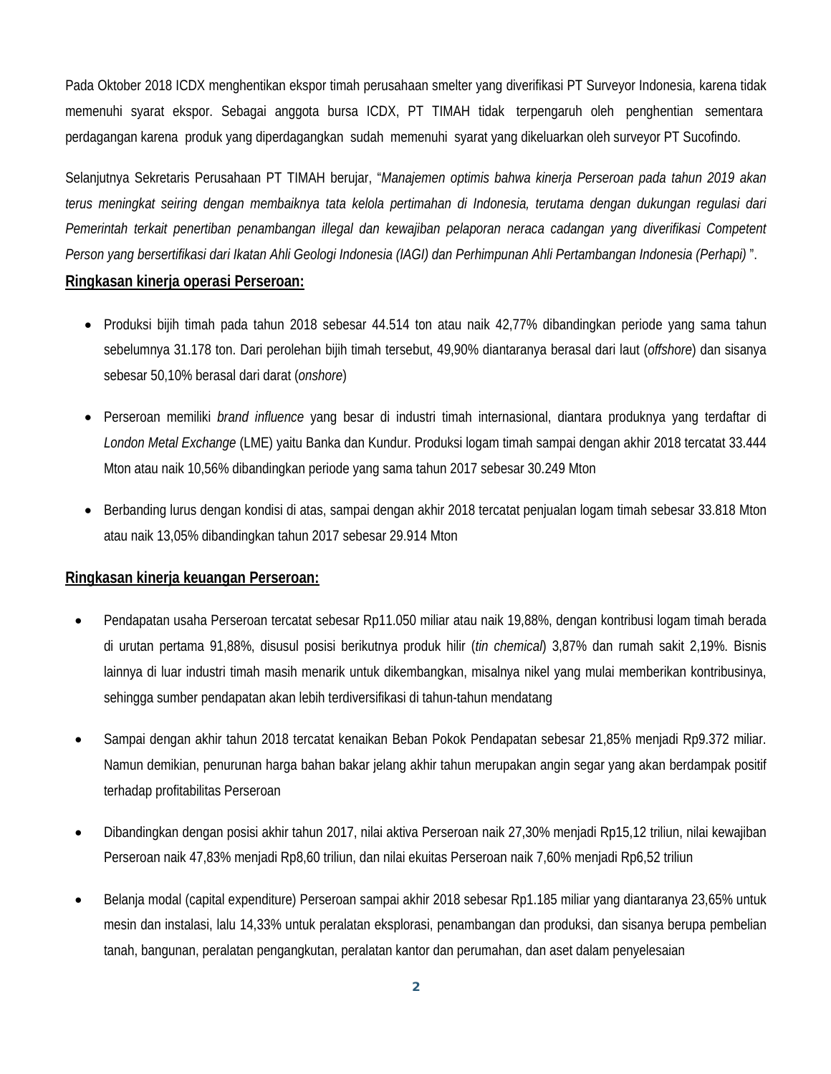Pada Oktober 2018 ICDX menghentikan ekspor timah perusahaan smelter yang diverifikasi PT Surveyor Indonesia, karena tidak memenuhi syarat ekspor. Sebagai anggota bursa ICDX, PT TIMAH tidak terpengaruh oleh penghentian sementara perdagangan karena produk yang diperdagangkan sudah memenuhi syarat yang dikeluarkan oleh surveyor PT Sucofindo.

Selanjutnya Sekretaris Perusahaan PT TIMAH berujar, "*Manajemen optimis bahwa kinerja Perseroan pada tahun 2019 akan terus meningkat seiring dengan membaiknya tata kelola pertimahan di Indonesia, terutama dengan dukungan regulasi dari Pemerintah terkait penertiban penambangan illegal dan kewajiban pelaporan neraca cadangan yang diverifikasi Competent Person yang bersertifikasi dari Ikatan Ahli Geologi Indonesia (IAGI) dan Perhimpunan Ahli Pertambangan Indonesia (Perhapi)* ".

# **Ringkasan kinerja operasi Perseroan:**

- Produksi bijih timah pada tahun 2018 sebesar 44.514 ton atau naik 42,77% dibandingkan periode yang sama tahun sebelumnya 31.178 ton. Dari perolehan bijih timah tersebut, 49,90% diantaranya berasal dari laut (*offshore*) dan sisanya sebesar 50,10% berasal dari darat (*onshore*)
- Perseroan memiliki *brand influence* yang besar di industri timah internasional, diantara produknya yang terdaftar di *London Metal Exchange* (LME) yaitu Banka dan Kundur. Produksi logam timah sampai dengan akhir 2018 tercatat 33.444 Mton atau naik 10,56% dibandingkan periode yang sama tahun 2017 sebesar 30.249 Mton
- Berbanding lurus dengan kondisi di atas, sampai dengan akhir 2018 tercatat penjualan logam timah sebesar 33.818 Mton atau naik 13,05% dibandingkan tahun 2017 sebesar 29.914 Mton

# **Ringkasan kinerja keuangan Perseroan:**

- Pendapatan usaha Perseroan tercatat sebesar Rp11.050 miliar atau naik 19,88%, dengan kontribusi logam timah berada di urutan pertama 91,88%, disusul posisi berikutnya produk hilir (*tin chemical*) 3,87% dan rumah sakit 2,19%. Bisnis lainnya di luar industri timah masih menarik untuk dikembangkan, misalnya nikel yang mulai memberikan kontribusinya, sehingga sumber pendapatan akan lebih terdiversifikasi di tahun-tahun mendatang
- Sampai dengan akhir tahun 2018 tercatat kenaikan Beban Pokok Pendapatan sebesar 21,85% menjadi Rp9.372 miliar. Namun demikian, penurunan harga bahan bakar jelang akhir tahun merupakan angin segar yang akan berdampak positif terhadap profitabilitas Perseroan
- Dibandingkan dengan posisi akhir tahun 2017, nilai aktiva Perseroan naik 27,30% menjadi Rp15,12 triliun, nilai kewajiban Perseroan naik 47,83% menjadi Rp8,60 triliun, dan nilai ekuitas Perseroan naik 7,60% menjadi Rp6,52 triliun
- Belanja modal (capital expenditure) Perseroan sampai akhir 2018 sebesar Rp1.185 miliar yang diantaranya 23,65% untuk mesin dan instalasi, lalu 14,33% untuk peralatan eksplorasi, penambangan dan produksi, dan sisanya berupa pembelian tanah, bangunan, peralatan pengangkutan, peralatan kantor dan perumahan, dan aset dalam penyelesaian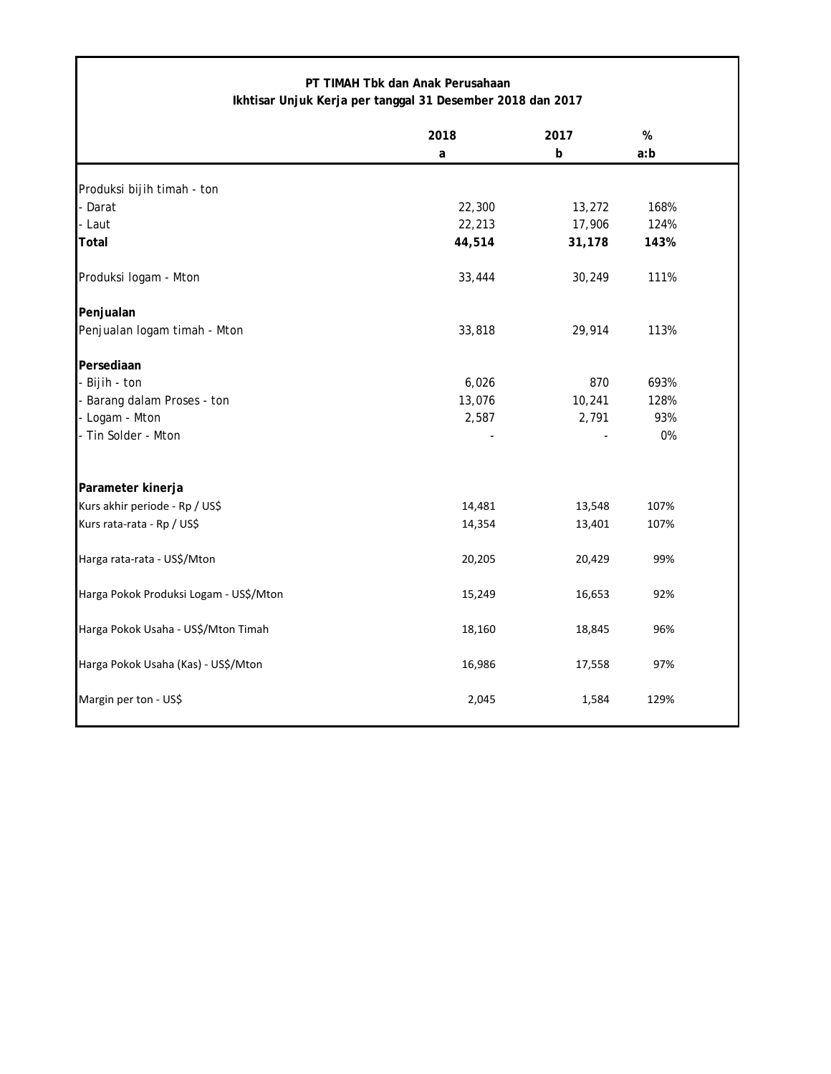| PT TIMAH Tbk dan Anak Perusahaan<br>Ikhtisar Unjuk Kerja per tanggal 31 Desember 2018 dan 2017 |           |           |          |  |  |
|------------------------------------------------------------------------------------------------|-----------|-----------|----------|--|--|
|                                                                                                | 2018<br>a | 2017<br>b | %<br>a:b |  |  |
| Produksi bijih timah - ton                                                                     |           |           |          |  |  |
| - Darat                                                                                        | 22,300    | 13,272    | 168%     |  |  |
| - Laut                                                                                         | 22,213    | 17,906    | 124%     |  |  |
| Total                                                                                          | 44,514    | 31,178    | 143%     |  |  |
| Produksi logam - Mton                                                                          | 33,444    | 30,249    | 111%     |  |  |
| Penjualan                                                                                      |           |           |          |  |  |
| Penjualan logam timah - Mton                                                                   | 33,818    | 29,914    | 113%     |  |  |
| Persediaan                                                                                     |           |           |          |  |  |
| - Bijih - ton                                                                                  | 6,026     | 870       | 693%     |  |  |
| - Barang dalam Proses - ton                                                                    | 13,076    | 10,241    | 128%     |  |  |
| - Logam - Mton                                                                                 | 2,587     | 2,791     | 93%      |  |  |
| - Tin Solder - Mton                                                                            |           |           | $0\%$    |  |  |
| Parameter kinerja                                                                              |           |           |          |  |  |
| Kurs akhir periode - Rp / US\$                                                                 | 14,481    | 13,548    | 107%     |  |  |
| Kurs rata-rata - Rp / US\$                                                                     | 14,354    | 13,401    | 107%     |  |  |
| Harga rata-rata - US\$/Mton                                                                    | 20,205    | 20,429    | 99%      |  |  |
| Harga Pokok Produksi Logam - US\$/Mton                                                         | 15,249    | 16,653    | 92%      |  |  |
| Harga Pokok Usaha - US\$/Mton Timah                                                            | 18,160    | 18,845    | 96%      |  |  |
| Harga Pokok Usaha (Kas) - US\$/Mton                                                            | 16,986    | 17,558    | 97%      |  |  |
| Margin per ton - US\$                                                                          | 2,045     | 1,584     | 129%     |  |  |

Г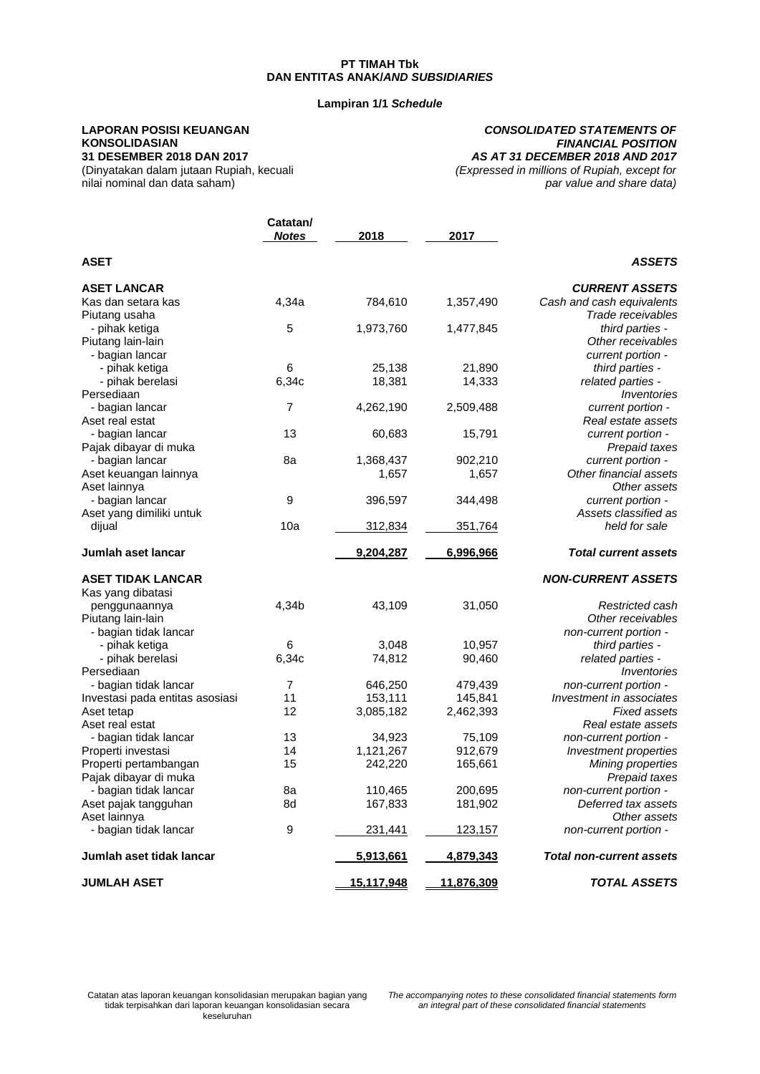#### **Lampiran 1/1** *Schedule*

#### **LAPORAN POSISI KEUANGAN KONSOLIDASIAN 31 DESEMBER 2018 DAN 2017**

nilai nominal dan data saham)

(Dinyatakan dalam jutaan Rupiah, kecuali

#### *CONSOLIDATED STATEMENTS OF FINANCIAL POSITION AS AT 31 DECEMBER 2018 AND 2017 (Expressed in millions of Rupiah, except for*

*par value and share data)*

| Catatan/ |                                      |                                                                                                                              |                                                                                           |
|----------|--------------------------------------|------------------------------------------------------------------------------------------------------------------------------|-------------------------------------------------------------------------------------------|
|          |                                      |                                                                                                                              |                                                                                           |
|          |                                      |                                                                                                                              | <b>ASSETS</b>                                                                             |
|          |                                      |                                                                                                                              | <b>CURRENT ASSETS</b>                                                                     |
| 4,34a    | 784,610                              | 1,357,490                                                                                                                    | Cash and cash equivalents                                                                 |
|          |                                      |                                                                                                                              | Trade receivables                                                                         |
| 5        | 1,973,760                            | 1,477,845                                                                                                                    | third parties -                                                                           |
|          |                                      |                                                                                                                              | Other receivables                                                                         |
|          |                                      |                                                                                                                              | current portion -                                                                         |
| 6        | 25,138                               | 21,890                                                                                                                       | third parties -                                                                           |
| 6,34c    | 18,381                               | 14,333                                                                                                                       | related parties -                                                                         |
|          |                                      |                                                                                                                              | Inventories                                                                               |
| 7        | 4,262,190                            | 2,509,488                                                                                                                    | current portion -                                                                         |
|          |                                      |                                                                                                                              | Real estate assets                                                                        |
| 13       | 60,683                               | 15,791                                                                                                                       | current portion -                                                                         |
|          |                                      |                                                                                                                              | Prepaid taxes                                                                             |
| 8a       | 1,368,437                            | 902,210                                                                                                                      | current portion -                                                                         |
|          | 1,657                                | 1,657                                                                                                                        | Other financial assets                                                                    |
|          |                                      |                                                                                                                              | Other assets                                                                              |
| 9        | 396,597                              | 344,498                                                                                                                      | current portion -                                                                         |
|          |                                      |                                                                                                                              | Assets classified as                                                                      |
| 10a      | 312,834                              | 351,764                                                                                                                      | held for sale                                                                             |
|          | 9,204,287                            | 6,996,966                                                                                                                    | <b>Total current assets</b>                                                               |
|          |                                      |                                                                                                                              | <b>NON-CURRENT ASSETS</b>                                                                 |
|          |                                      |                                                                                                                              |                                                                                           |
|          |                                      |                                                                                                                              | Restricted cash                                                                           |
|          |                                      |                                                                                                                              | Other receivables                                                                         |
|          |                                      |                                                                                                                              | non-current portion -                                                                     |
| 6        |                                      |                                                                                                                              | third parties -                                                                           |
|          |                                      |                                                                                                                              | related parties -                                                                         |
|          |                                      |                                                                                                                              | Inventories                                                                               |
| 7        |                                      |                                                                                                                              | non-current portion -                                                                     |
| 11       |                                      |                                                                                                                              | Investment in associates                                                                  |
| 12       |                                      | 2,462,393                                                                                                                    | <b>Fixed assets</b>                                                                       |
|          |                                      |                                                                                                                              | Real estate assets                                                                        |
|          |                                      | 75,109                                                                                                                       | non-current portion -                                                                     |
| 14       |                                      |                                                                                                                              | Investment properties                                                                     |
| 15       |                                      |                                                                                                                              | <b>Mining properties</b>                                                                  |
|          |                                      |                                                                                                                              | Prepaid taxes                                                                             |
| 8a       |                                      |                                                                                                                              | non-current portion -                                                                     |
| 8d       |                                      | 181,902                                                                                                                      | Deferred tax assets                                                                       |
|          |                                      |                                                                                                                              | Other assets                                                                              |
| 9        | 231,441                              | <u>123,157</u>                                                                                                               | non-current portion -                                                                     |
|          | 5,913,661                            | 4,879,343                                                                                                                    | <b>Total non-current assets</b>                                                           |
|          | 15,117,948                           | 11,876,309                                                                                                                   | <b>TOTAL ASSETS</b>                                                                       |
|          | <b>Notes</b><br>4,34b<br>6,34c<br>13 | 2018<br>43,109<br>3,048<br>74,812<br>646,250<br>153,111<br>3,085,182<br>34,923<br>1,121,267<br>242,220<br>110,465<br>167,833 | 2017<br>31,050<br>10,957<br>90,460<br>479,439<br>145,841<br>912,679<br>165,661<br>200,695 |

*The accompanying notes to these consolidated financial statements form an integral part of these consolidated financial statements*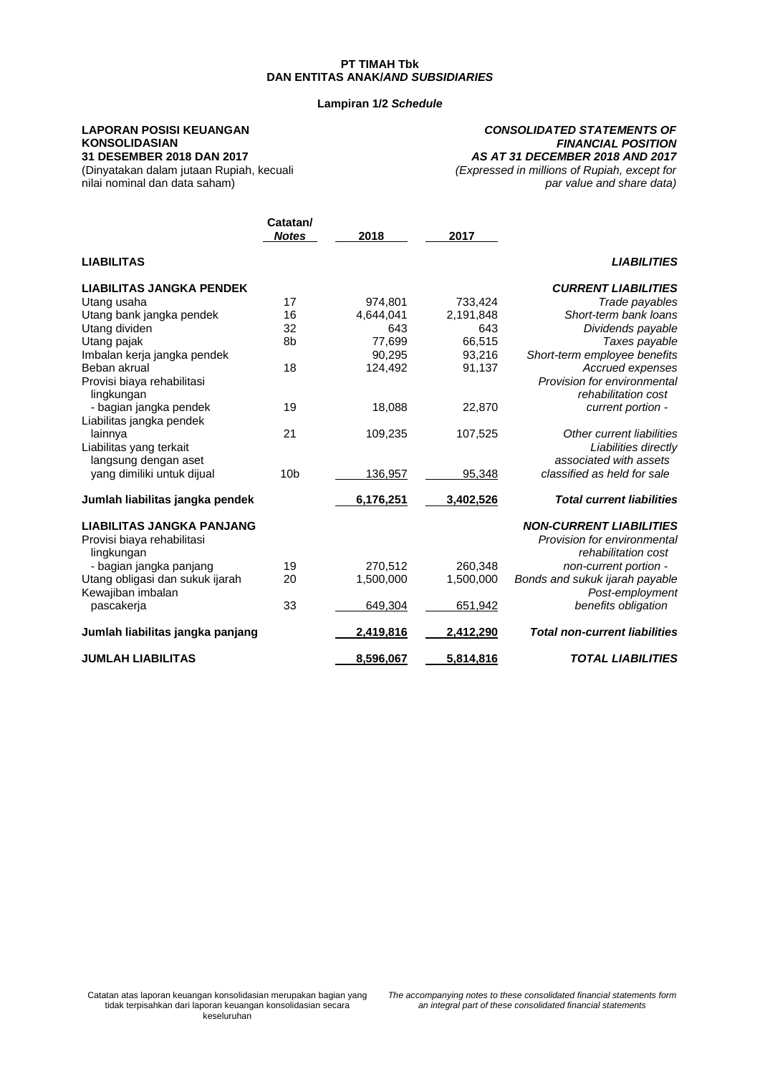#### **Lampiran 1/2** *Schedule*

**Catatan/**

#### **LAPORAN POSISI KEUANGAN KONSOLIDASIAN 31 DESEMBER 2018 DAN 2017**

*CONSOLIDATED STATEMENTS OF FINANCIAL POSITION AS AT 31 DECEMBER 2018 AND 2017 (Expressed in millions of Rupiah, except for par value and share data)*

(Dinyatakan dalam jutaan Rupiah, kecuali nilai nominal dan data saham)

|                                  | <b>Notes</b>    | 2018             | 2017      |                                      |
|----------------------------------|-----------------|------------------|-----------|--------------------------------------|
| <b>LIABILITAS</b>                |                 |                  |           | <b>LIABILITIES</b>                   |
| <b>LIABILITAS JANGKA PENDEK</b>  |                 |                  |           | <b>CURRENT LIABILITIES</b>           |
| Utang usaha                      | 17              | 974,801          | 733,424   | Trade payables                       |
| Utang bank jangka pendek         | 16              | 4,644,041        | 2,191,848 | Short-term bank loans                |
| Utang dividen                    | 32              | 643              | 643       | Dividends payable                    |
| Utang pajak                      | 8b              | 77,699           | 66,515    | Taxes payable                        |
| Imbalan kerja jangka pendek      |                 | 90,295           | 93,216    | Short-term employee benefits         |
| Beban akrual                     | 18              | 124,492          | 91,137    | Accrued expenses                     |
| Provisi biaya rehabilitasi       |                 |                  |           | Provision for environmental          |
| lingkungan                       |                 |                  |           | rehabilitation cost                  |
| - bagian jangka pendek           | 19              | 18,088           | 22,870    | current portion -                    |
| Liabilitas jangka pendek         |                 |                  |           |                                      |
| lainnya                          | 21              | 109,235          | 107,525   | Other current liabilities            |
| Liabilitas yang terkait          |                 |                  |           | Liabilities directly                 |
| langsung dengan aset             |                 |                  |           | associated with assets               |
| yang dimiliki untuk dijual       | 10 <sub>b</sub> | 136,957          | 95,348    | classified as held for sale          |
| Jumlah liabilitas jangka pendek  |                 | 6,176,251        | 3,402,526 | <b>Total current liabilities</b>     |
| <b>LIABILITAS JANGKA PANJANG</b> |                 |                  |           | <b>NON-CURRENT LIABILITIES</b>       |
| Provisi biaya rehabilitasi       |                 |                  |           | Provision for environmental          |
| lingkungan                       |                 |                  |           | rehabilitation cost                  |
| - bagian jangka panjang          | 19              | 270,512          | 260,348   | non-current portion -                |
| Utang obligasi dan sukuk ijarah  | 20              | 1,500,000        | 1,500,000 | Bonds and sukuk ijarah payable       |
| Kewajiban imbalan                |                 |                  |           | Post-employment                      |
| pascakerja                       | 33              | 649,304          | 651,942   | benefits obligation                  |
| Jumlah liabilitas jangka panjang |                 | <u>2,419,816</u> | 2,412,290 | <b>Total non-current liabilities</b> |
| <b>JUMLAH LIABILITAS</b>         |                 | 8,596,067        | 5,814,816 | <b>TOTAL LIABILITIES</b>             |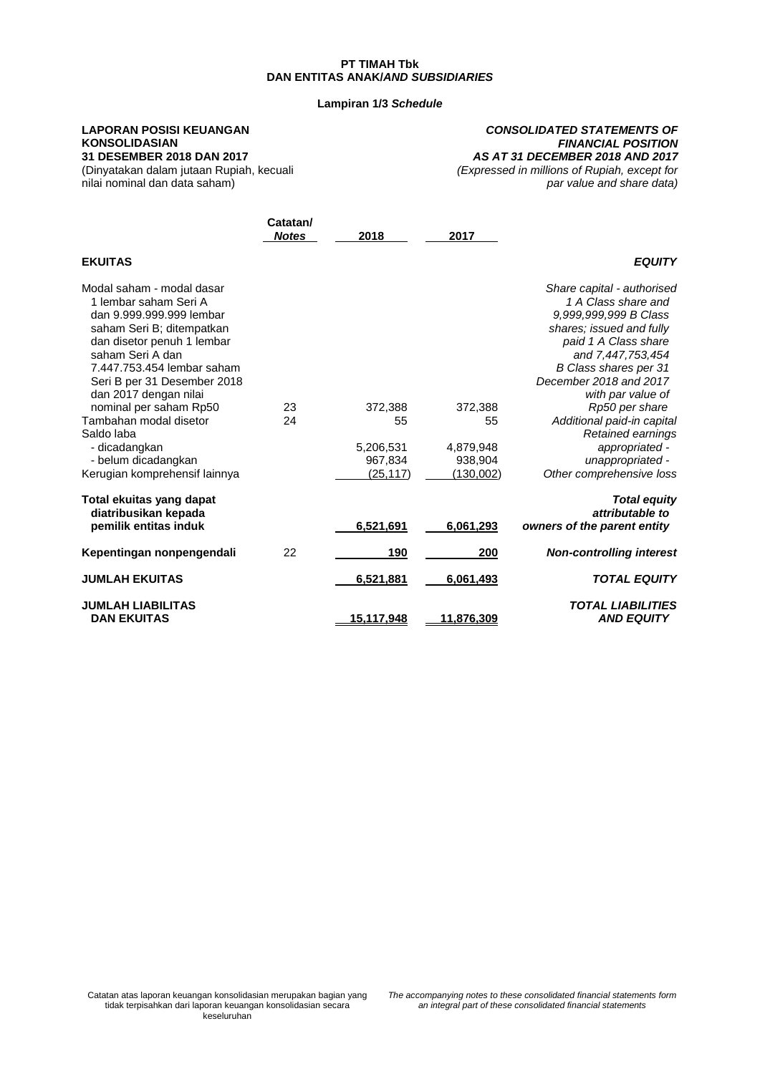#### **Lampiran 1/3** *Schedule*

# **LAPORAN POSISI KEUANGAN KONSOLIDASIAN**

**31 DESEMBER 2018 DAN 2017** (Dinyatakan dalam jutaan Rupiah, kecuali nilai nominal dan data saham)

#### *CONSOLIDATED STATEMENTS OF FINANCIAL POSITION AS AT 31 DECEMBER 2018 AND 2017 (Expressed in millions of Rupiah, except for par value and share data)*

**Catatan/** *Notes* **2018 2017 EKUITAS** *EQUITY* Modal saham - modal dasar *Share capital - authorised* 1 lembar saham Seri A *1 A Class share and* dan 9.999.999.999 lembar *9,999,999,999 B Class* saham Seri B; ditempatkan *shares; issued and fully* dan disetor penuh 1 lembar<br>saham Seri A dan and 7,447,753,454<br>**B Class shares per 31** 7.447.753.454 lembar saham *B Class shares per 31* Seri B per 31 Desember 2018 *December 2018 and 2017* dan 2017 dengan nilai *barahan para 123 dengan 172.388* meminal persaham Rp50 dengan aras *arahan 172.388* dengan aras *arahan Rp50* dengan aras *arahan aras 372.388* dengan aras *arahan arahan arahan arahan arahan arahan* nominal per saham Rp50 **23** 372,388 372,388 *Rp50 per share*<br>Tambahan modal disetor 24 55 55 *Additional paid-in capita* Tambahan modal disetor 24 55 55 *Additional paid-in capital* Extained earnings<br>- Retained earnings<br>- appropriated *and*<br>- All 379,948 - dicadangkan 5,206,531 4,879,948 *appropriated -* - belum dicadangkan 967,834 938,904 *unappropriated -* Kerugian komprehensif lainnya (25,117) (130,002) *Other comprehensive loss* **Total ekuitas yang dapat** *Total equity* **diatribusikan kepada** *attributable to* **pemilik entitas induk 6,521,691 6,061,293** *owners of the parent entity* **Kepentingan nonpengendali** 22 **190 200** *Non-controlling interest* **JUMLAH EKUITAS 6,521,881 6,061,493** *TOTAL EQUITY* **JUMLAH LIABILITAS** *TOTAL LIABILITIES* **DAN EKUITAS** 

Catatan atas laporan keuangan konsolidasian merupakan bagian yang tidak terpisahkan dari laporan keuangan konsolidasian secara keseluruhan

*The accompanying notes to these consolidated financial statements form an integral part of these consolidated financial statements*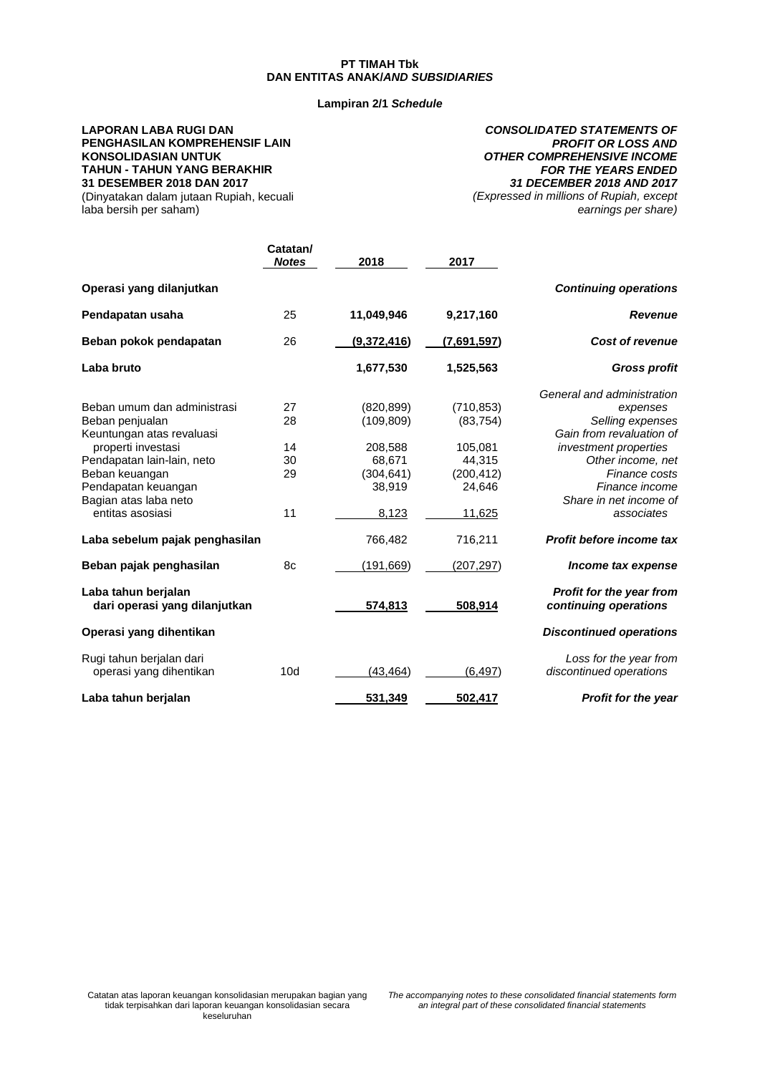#### **Lampiran 2/1** *Schedule*

# **LAPORAN LABA RUGI DAN PENGHASILAN KOMPREHENSIF LAIN KONSOLIDASIAN UNTUK TAHUN - TAHUN YANG BERAKHIR 31 DESEMBER 2018 DAN 2017**

(Dinyatakan dalam jutaan Rupiah, kecuali laba bersih per saham)

**Catatan/**

*CONSOLIDATED STATEMENTS OF PROFIT OR LOSS AND OTHER COMPREHENSIVE INCOME FOR THE YEARS ENDED 31 DECEMBER 2018 AND 2017 (Expressed in millions of Rupiah, except*

*earnings per share)*

|                                                      | <b>Notes</b> | 2018        | 2017        |                                                          |
|------------------------------------------------------|--------------|-------------|-------------|----------------------------------------------------------|
| Operasi yang dilanjutkan                             |              |             |             | <b>Continuing operations</b>                             |
| Pendapatan usaha                                     | 25           | 11,049,946  | 9,217,160   | <b>Revenue</b>                                           |
| Beban pokok pendapatan                               | 26           | (9,372,416) | (7,691,597) | <b>Cost of revenue</b>                                   |
| Laba bruto                                           |              | 1,677,530   | 1,525,563   | <b>Gross profit</b>                                      |
|                                                      |              |             |             | General and administration                               |
| Beban umum dan administrasi                          | 27           | (820, 899)  | (710, 853)  | expenses                                                 |
| Beban penjualan                                      | 28           | (109, 809)  | (83, 754)   | Selling expenses                                         |
| Keuntungan atas revaluasi                            |              |             |             | Gain from revaluation of                                 |
| properti investasi                                   | 14           | 208,588     | 105,081     | investment properties                                    |
| Pendapatan lain-lain, neto                           | 30           | 68,671      | 44.315      | Other income, net                                        |
| Beban keuangan                                       | 29           | (304, 641)  | (200, 412)  | Finance costs                                            |
| Pendapatan keuangan                                  |              | 38,919      | 24.646      | Finance income                                           |
| Bagian atas laba neto                                |              |             |             | Share in net income of                                   |
| entitas asosiasi                                     | 11           | 8,123       | 11,625      | associates                                               |
| Laba sebelum pajak penghasilan                       |              | 766,482     | 716,211     | Profit before income tax                                 |
| Beban pajak penghasilan                              | 8c           | (191, 669)  | (207, 297)  | Income tax expense                                       |
| Laba tahun berjalan<br>dari operasi yang dilanjutkan |              | 574,813     | 508,914     | <b>Profit for the year from</b><br>continuing operations |
| Operasi yang dihentikan                              |              |             |             | <b>Discontinued operations</b>                           |
| Rugi tahun berjalan dari<br>operasi yang dihentikan  | 10d          | (43, 464)   | (6, 497)    | Loss for the year from<br>discontinued operations        |
| Laba tahun berjalan                                  |              | 531,349     | 502,417     | <b>Profit for the year</b>                               |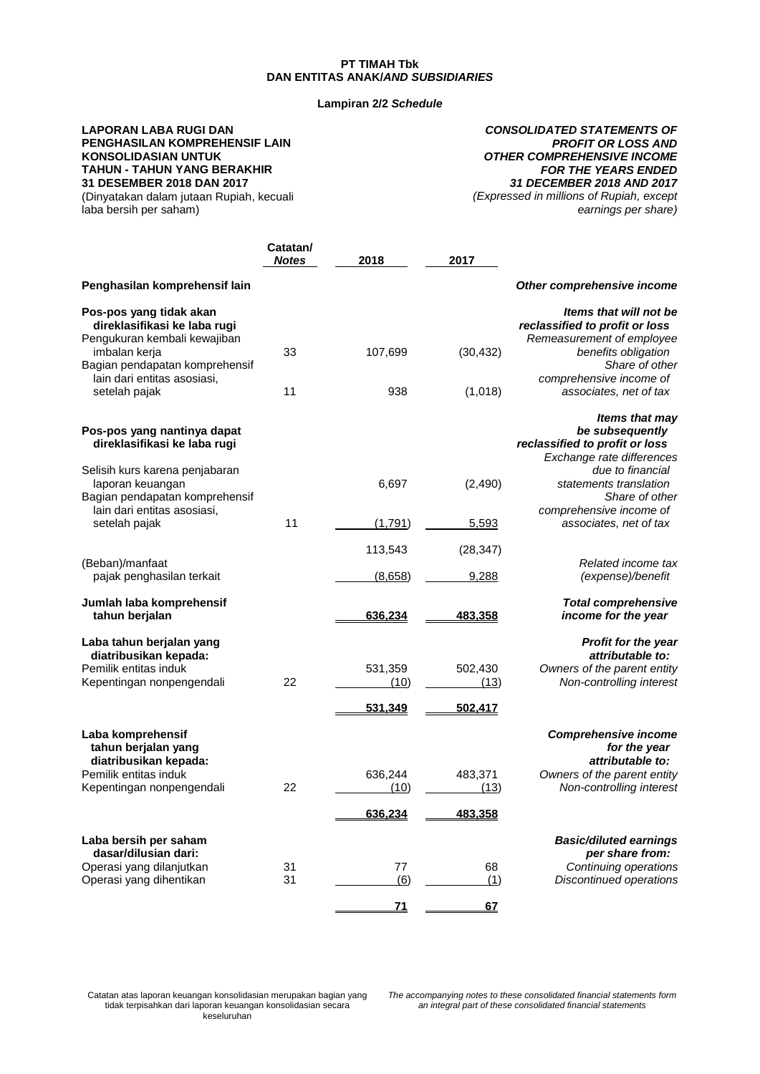## **Lampiran 2/2** *Schedule*

# **LAPORAN LABA RUGI DAN PENGHASILAN KOMPREHENSIF LAIN KONSOLIDASIAN UNTUK TAHUN - TAHUN YANG BERAKHIR 31 DESEMBER 2018 DAN 2017**

(Dinyatakan dalam jutaan Rupiah, kecuali laba bersih per saham)

*CONSOLIDATED STATEMENTS OF PROFIT OR LOSS AND OTHER COMPREHENSIVE INCOME FOR THE YEARS ENDED 31 DECEMBER 2018 AND 2017 (Expressed in millions of Rupiah, except earnings per share)*

|                                                                                                         | Catatan/<br>Notes | 2018            | 2017            |                                                                                                           |
|---------------------------------------------------------------------------------------------------------|-------------------|-----------------|-----------------|-----------------------------------------------------------------------------------------------------------|
| Penghasilan komprehensif lain                                                                           |                   |                 |                 | Other comprehensive income                                                                                |
| Pos-pos yang tidak akan<br>direklasifikasi ke laba rugi<br>Pengukuran kembali kewajiban                 |                   |                 |                 | Items that will not be<br>reclassified to profit or loss<br>Remeasurement of employee                     |
| imbalan kerja<br>Bagian pendapatan komprehensif<br>lain dari entitas asosiasi,                          | 33                | 107,699         | (30, 432)       | benefits obligation<br>Share of other<br>comprehensive income of                                          |
| setelah pajak                                                                                           | 11                | 938             | (1,018)         | associates, net of tax                                                                                    |
| Pos-pos yang nantinya dapat<br>direklasifikasi ke laba rugi                                             |                   |                 |                 | Items that may<br>be subsequently<br>reclassified to profit or loss<br>Exchange rate differences          |
| Selisih kurs karena penjabaran<br>laporan keuangan<br>Bagian pendapatan komprehensif                    |                   | 6,697           | (2,490)         | due to financial<br>statements translation<br>Share of other                                              |
| lain dari entitas asosiasi,<br>setelah pajak                                                            | 11                | (1,791)         | 5,593           | comprehensive income of<br>associates, net of tax                                                         |
|                                                                                                         |                   | 113,543         | (28, 347)       | Related income tax                                                                                        |
| (Beban)/manfaat<br>pajak penghasilan terkait                                                            |                   | (8,658)         | 9,288           | (expense)/benefit                                                                                         |
| Jumlah laba komprehensif<br>tahun berjalan                                                              |                   | 636,234         | 483,358         | <b>Total comprehensive</b><br>income for the year                                                         |
| Laba tahun berjalan yang<br>diatribusikan kepada:<br>Pemilik entitas induk<br>Kepentingan nonpengendali | 22                | 531,359<br>(10) | 502,430<br>(13) | <b>Profit for the year</b><br>attributable to:<br>Owners of the parent entity<br>Non-controlling interest |
|                                                                                                         |                   | 531,349         | 502,417         |                                                                                                           |
| Laba komprehensif<br>tahun berjalan yang<br>diatribusikan kepada:                                       |                   |                 |                 | <b>Comprehensive income</b><br>for the year<br>attributable to:                                           |
| Pemilik entitas induk<br>Kepentingan nonpengendali                                                      | 22                | 636,244<br>(10) | 483,371<br>(13) | Owners of the parent entity<br>Non-controlling interest                                                   |
|                                                                                                         |                   | <u>636,234</u>  | <u>483,358</u>  |                                                                                                           |
| Laba bersih per saham<br>dasar/dilusian dari:<br>Operasi yang dilanjutkan                               | 31                | 77              | 68              | <b>Basic/diluted earnings</b><br>per share from:<br>Continuing operations                                 |
| Operasi yang dihentikan                                                                                 | 31                | (6)             | (1)             | <b>Discontinued operations</b>                                                                            |
|                                                                                                         |                   | 71              | 67              |                                                                                                           |

Catatan atas laporan keuangan konsolidasian merupakan bagian yang tidak terpisahkan dari laporan keuangan konsolidasian secara keseluruhan

*The accompanying notes to these consolidated financial statements form an integral part of these consolidated financial statements*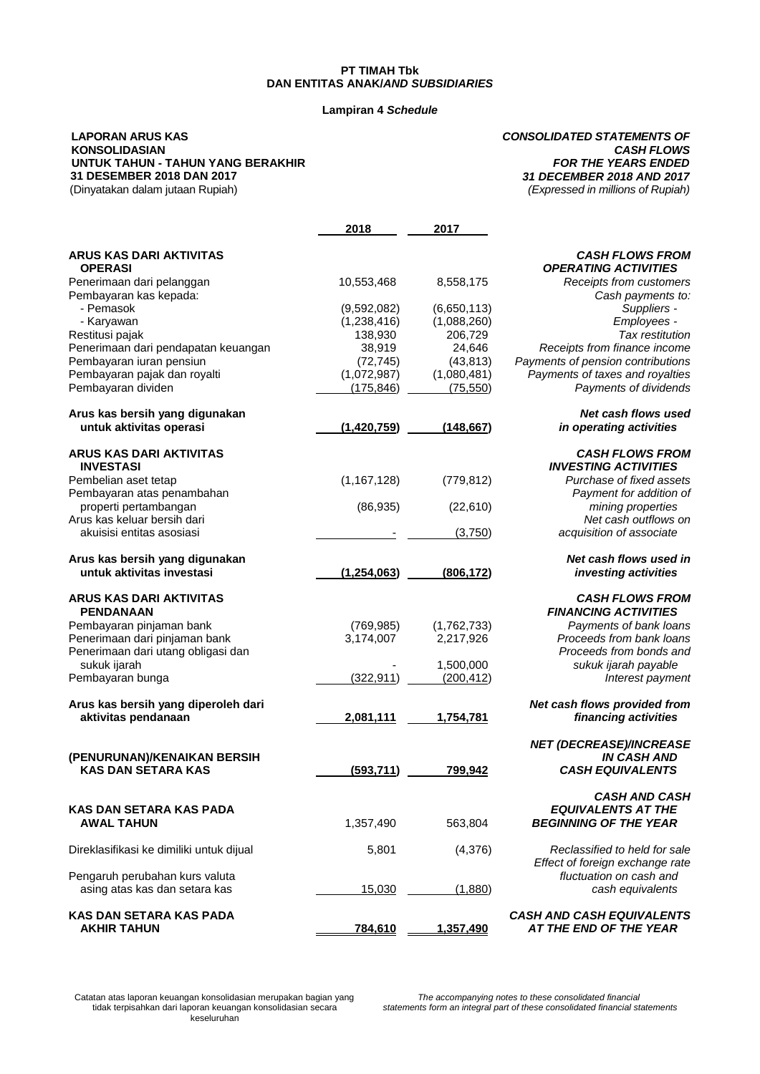#### **Lampiran 4** *Schedule*

#### **LAPORAN ARUS KAS KONSOLIDASIAN UNTUK TAHUN - TAHUN YANG BERAKHIR 31 DESEMBER 2018 DAN 2017** (Dinyatakan dalam jutaan Rupiah)

#### *CONSOLIDATED STATEMENTS OF CASH FLOWS FOR THE YEARS ENDED 31 DECEMBER 2018 AND 2017 (Expressed in millions of Rupiah)*

|                                                                 | 2018                | 2017                |                                                                   |
|-----------------------------------------------------------------|---------------------|---------------------|-------------------------------------------------------------------|
| <b>ARUS KAS DARI AKTIVITAS</b>                                  |                     |                     | <b>CASH FLOWS FROM</b>                                            |
| <b>OPERASI</b>                                                  |                     |                     | <b>OPERATING ACTIVITIES</b>                                       |
| Penerimaan dari pelanggan                                       | 10,553,468          | 8,558,175           | Receipts from customers                                           |
| Pembayaran kas kepada:                                          |                     |                     | Cash payments to:                                                 |
| - Pemasok                                                       | (9,592,082)         | (6,650,113)         | Suppliers -                                                       |
| - Karyawan                                                      | (1,238,416)         | (1,088,260)         | Employees -                                                       |
| Restitusi pajak                                                 | 138,930             | 206,729             | Tax restitution                                                   |
| Penerimaan dari pendapatan keuangan<br>Pembayaran iuran pensiun | 38,919<br>(72, 745) | 24,646<br>(43, 813) | Receipts from finance income<br>Payments of pension contributions |
| Pembayaran pajak dan royalti                                    | (1,072,987)         | (1,080,481)         | Payments of taxes and royalties                                   |
| Pembayaran dividen                                              | (175, 846)          | (75, 550)           | Payments of dividends                                             |
| Arus kas bersih yang digunakan                                  |                     |                     | <b>Net cash flows used</b>                                        |
| untuk aktivitas operasi                                         | (1,420,759)         | (148, 667)          | in operating activities                                           |
| <b>ARUS KAS DARI AKTIVITAS</b>                                  |                     |                     | <b>CASH FLOWS FROM</b>                                            |
| <b>INVESTASI</b>                                                |                     |                     | <b>INVESTING ACTIVITIES</b>                                       |
| Pembelian aset tetap                                            | (1, 167, 128)       | (779, 812)          | Purchase of fixed assets                                          |
| Pembayaran atas penambahan                                      |                     |                     | Payment for addition of                                           |
| properti pertambangan                                           | (86, 935)           | (22,610)            | mining properties                                                 |
| Arus kas keluar bersih dari<br>akuisisi entitas asosiasi        |                     |                     | Net cash outflows on                                              |
|                                                                 |                     | (3,750)             | acquisition of associate                                          |
| Arus kas bersih yang digunakan                                  |                     |                     | Net cash flows used in                                            |
| untuk aktivitas investasi                                       | (1,254,063)         | (806, 172)          | investing activities                                              |
| <b>ARUS KAS DARI AKTIVITAS</b>                                  |                     |                     | <b>CASH FLOWS FROM</b>                                            |
| <b>PENDANAAN</b>                                                |                     |                     | <b>FINANCING ACTIVITIES</b>                                       |
| Pembayaran pinjaman bank                                        | (769, 985)          | (1,762,733)         | Payments of bank loans                                            |
| Penerimaan dari pinjaman bank                                   | 3,174,007           | 2,217,926           | Proceeds from bank loans                                          |
| Penerimaan dari utang obligasi dan<br>sukuk ijarah              |                     | 1,500,000           | Proceeds from bonds and<br>sukuk ijarah payable                   |
| Pembayaran bunga                                                | (322, 911)          | (200, 412)          | Interest payment                                                  |
|                                                                 |                     |                     |                                                                   |
| Arus kas bersih yang diperoleh dari<br>aktivitas pendanaan      | 2,081,111           | 1,754,781           | Net cash flows provided from<br>financing activities              |
|                                                                 |                     |                     |                                                                   |
| (PENURUNAN)/KENAIKAN BERSIH                                     |                     |                     | <b>NET (DECREASE)/INCREASE</b><br><b>IN CASH AND</b>              |
| <b>KAS DAN SETARA KAS</b>                                       | (593, 711)          | 799,942             | <b>CASH EQUIVALENTS</b>                                           |
|                                                                 |                     |                     | <b>CASH AND CASH</b>                                              |
| <b>KAS DAN SETARA KAS PADA</b>                                  |                     |                     | <b>EQUIVALENTS AT THE</b>                                         |
| <b>AWAL TAHUN</b>                                               | 1,357,490           | 563,804             | <b>BEGINNING OF THE YEAR</b>                                      |
| Direklasifikasi ke dimiliki untuk dijual                        | 5,801               | (4,376)             | Reclassified to held for sale                                     |
|                                                                 |                     |                     | Effect of foreign exchange rate                                   |
| Pengaruh perubahan kurs valuta                                  |                     |                     | fluctuation on cash and                                           |
| asing atas kas dan setara kas                                   | 15,030              | (1,880)             | cash equivalents                                                  |
| <b>KAS DAN SETARA KAS PADA</b>                                  |                     |                     | <b>CASH AND CASH EQUIVALENTS</b>                                  |
| <b>AKHIR TAHUN</b>                                              | 784,610             | 1,357,490           | AT THE END OF THE YEAR                                            |

Catatan atas laporan keuangan konsolidasian merupakan bagian yang tidak terpisahkan dari laporan keuangan konsolidasian secara keseluruhan

*The accompanying notes to these consolidated financial statements form an integral part of these consolidated financial statements*